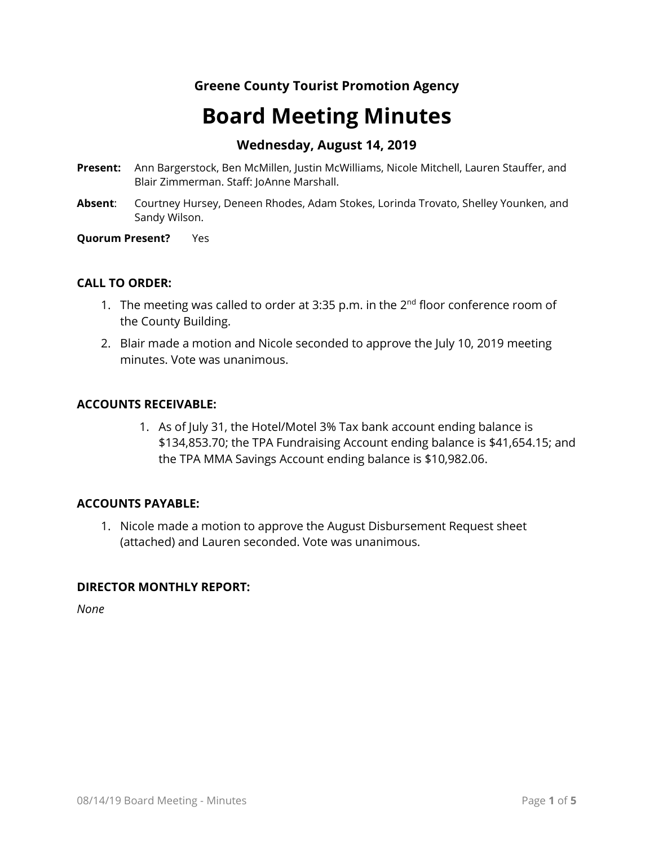## **Greene County Tourist Promotion Agency**

# **Board Meeting Minutes**

### **Wednesday, August 14, 2019**

- **Present:** Ann Bargerstock, Ben McMillen, Justin McWilliams, Nicole Mitchell, Lauren Stauffer, and Blair Zimmerman. Staff: JoAnne Marshall.
- **Absent**: Courtney Hursey, Deneen Rhodes, Adam Stokes, Lorinda Trovato, Shelley Younken, and Sandy Wilson.

**Quorum Present?** Yes

#### **CALL TO ORDER:**

- 1. The meeting was called to order at 3:35 p.m. in the  $2<sup>nd</sup>$  floor conference room of the County Building.
- 2. Blair made a motion and Nicole seconded to approve the July 10, 2019 meeting minutes. Vote was unanimous.

#### **ACCOUNTS RECEIVABLE:**

1. As of July 31, the Hotel/Motel 3% Tax bank account ending balance is \$134,853.70; the TPA Fundraising Account ending balance is \$41,654.15; and the TPA MMA Savings Account ending balance is \$10,982.06.

#### **ACCOUNTS PAYABLE:**

1. Nicole made a motion to approve the August Disbursement Request sheet (attached) and Lauren seconded. Vote was unanimous.

#### **DIRECTOR MONTHLY REPORT:**

*None*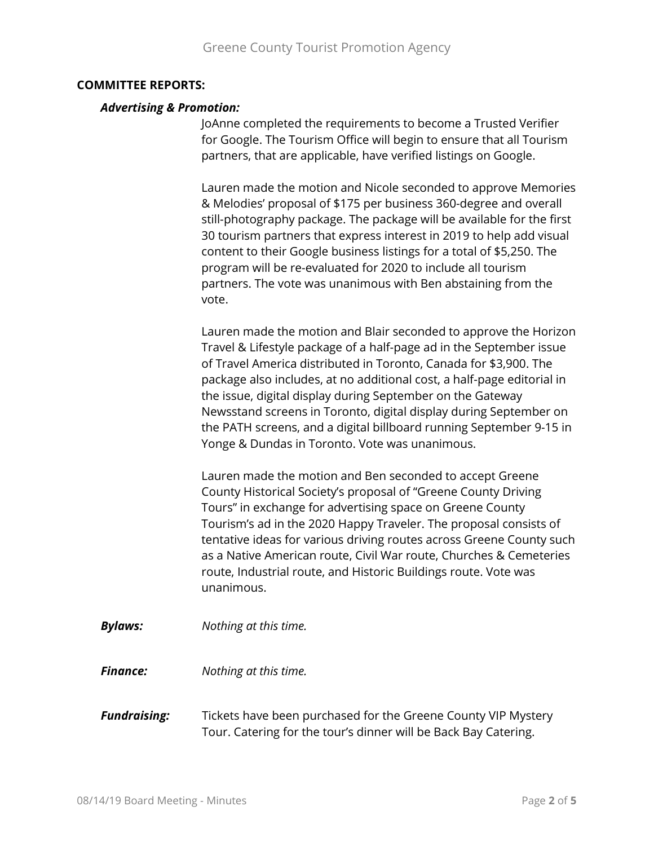#### **COMMITTEE REPORTS:**

#### *Advertising & Promotion:*

JoAnne completed the requirements to become a Trusted Verifier for Google. The Tourism Office will begin to ensure that all Tourism partners, that are applicable, have verified listings on Google.

Lauren made the motion and Nicole seconded to approve Memories & Melodies' proposal of \$175 per business 360-degree and overall still-photography package. The package will be available for the first 30 tourism partners that express interest in 2019 to help add visual content to their Google business listings for a total of \$5,250. The program will be re-evaluated for 2020 to include all tourism partners. The vote was unanimous with Ben abstaining from the vote.

Lauren made the motion and Blair seconded to approve the Horizon Travel & Lifestyle package of a half-page ad in the September issue of Travel America distributed in Toronto, Canada for \$3,900. The package also includes, at no additional cost, a half-page editorial in the issue, digital display during September on the Gateway Newsstand screens in Toronto, digital display during September on the PATH screens, and a digital billboard running September 9-15 in Yonge & Dundas in Toronto. Vote was unanimous.

Lauren made the motion and Ben seconded to accept Greene County Historical Society's proposal of "Greene County Driving Tours" in exchange for advertising space on Greene County Tourism's ad in the 2020 Happy Traveler. The proposal consists of tentative ideas for various driving routes across Greene County such as a Native American route, Civil War route, Churches & Cemeteries route, Industrial route, and Historic Buildings route. Vote was unanimous.

*Bylaws: Nothing at this time.*

*Finance: Nothing at this time.*

*Fundraising:* Tickets have been purchased for the Greene County VIP Mystery Tour. Catering for the tour's dinner will be Back Bay Catering.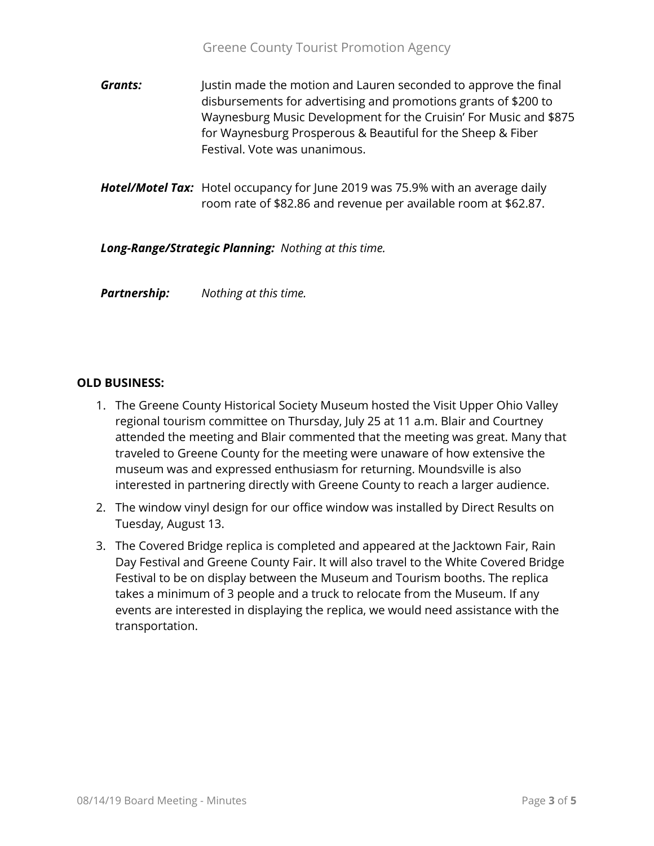- **Grants:** Justin made the motion and Lauren seconded to approve the final disbursements for advertising and promotions grants of \$200 to Waynesburg Music Development for the Cruisin' For Music and \$875 for Waynesburg Prosperous & Beautiful for the Sheep & Fiber Festival. Vote was unanimous.
- *Hotel/Motel Tax:* Hotel occupancy for June 2019 was 75.9% with an average daily room rate of \$82.86 and revenue per available room at \$62.87.

*Long-Range/Strategic Planning: Nothing at this time.*

*Partnership: Nothing at this time.*

#### **OLD BUSINESS:**

- 1. The Greene County Historical Society Museum hosted the Visit Upper Ohio Valley regional tourism committee on Thursday, July 25 at 11 a.m. Blair and Courtney attended the meeting and Blair commented that the meeting was great. Many that traveled to Greene County for the meeting were unaware of how extensive the museum was and expressed enthusiasm for returning. Moundsville is also interested in partnering directly with Greene County to reach a larger audience.
- 2. The window vinyl design for our office window was installed by Direct Results on Tuesday, August 13.
- 3. The Covered Bridge replica is completed and appeared at the Jacktown Fair, Rain Day Festival and Greene County Fair. It will also travel to the White Covered Bridge Festival to be on display between the Museum and Tourism booths. The replica takes a minimum of 3 people and a truck to relocate from the Museum. If any events are interested in displaying the replica, we would need assistance with the transportation.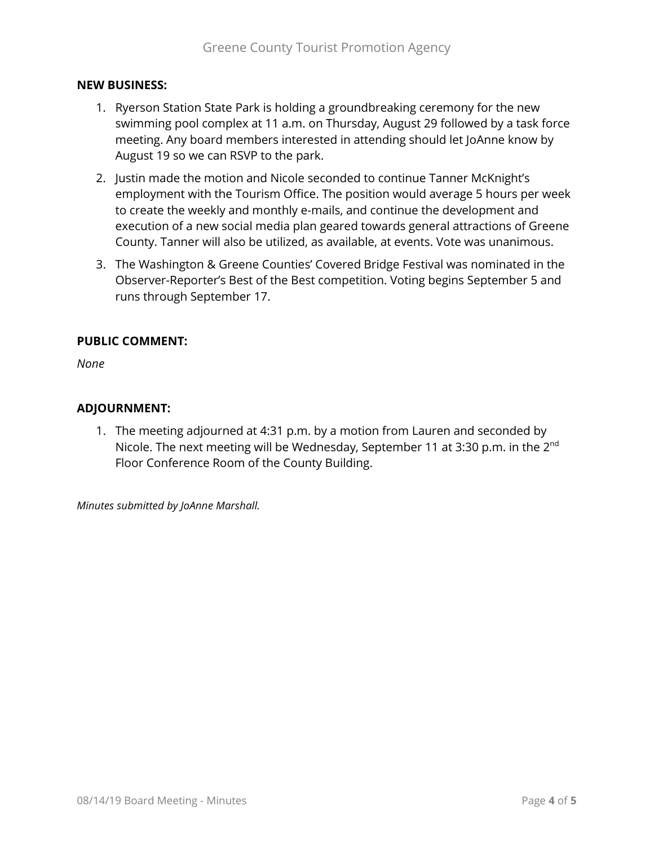#### **NEW BUSINESS:**

- 1. Ryerson Station State Park is holding a groundbreaking ceremony for the new swimming pool complex at 11 a.m. on Thursday, August 29 followed by a task force meeting. Any board members interested in attending should let JoAnne know by August 19 so we can RSVP to the park.
- 2. Justin made the motion and Nicole seconded to continue Tanner McKnight's employment with the Tourism Office. The position would average 5 hours per week to create the weekly and monthly e-mails, and continue the development and execution of a new social media plan geared towards general attractions of Greene County. Tanner will also be utilized, as available, at events. Vote was unanimous.
- 3. The Washington & Greene Counties' Covered Bridge Festival was nominated in the Observer-Reporter's Best of the Best competition. Voting begins September 5 and runs through September 17.

#### **PUBLIC COMMENT:**

*None*

#### **ADJOURNMENT:**

1. The meeting adjourned at 4:31 p.m. by a motion from Lauren and seconded by Nicole. The next meeting will be Wednesday, September 11 at 3:30 p.m. in the 2<sup>nd</sup> Floor Conference Room of the County Building.

*Minutes submitted by JoAnne Marshall.*